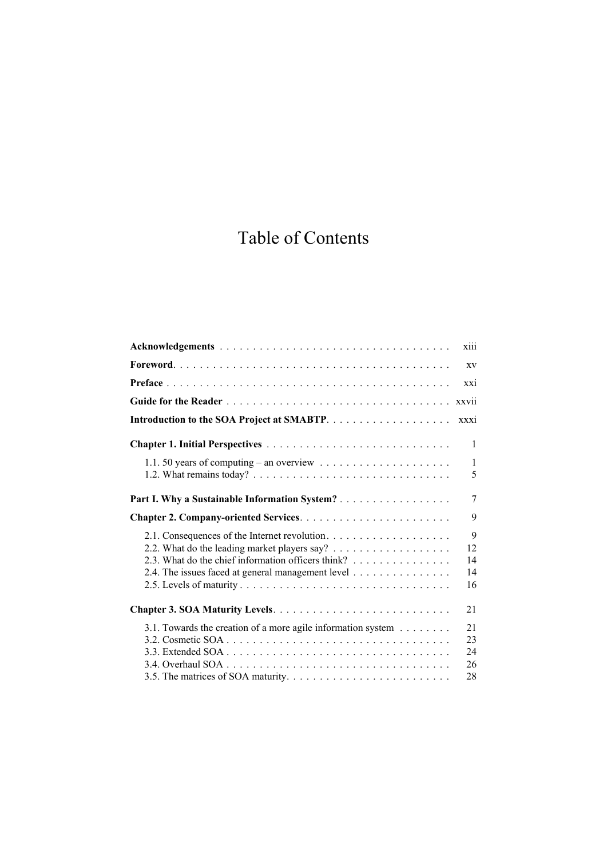## Table of Contents

| XV                         |
|----------------------------|
|                            |
| XX1                        |
| xxvii                      |
| <b>xxxi</b>                |
| 1                          |
| $\mathbf{1}$<br>5          |
| 7                          |
| 9                          |
| 9<br>12<br>14<br>14<br>16  |
| 21                         |
| 21<br>23<br>24<br>26<br>28 |
|                            |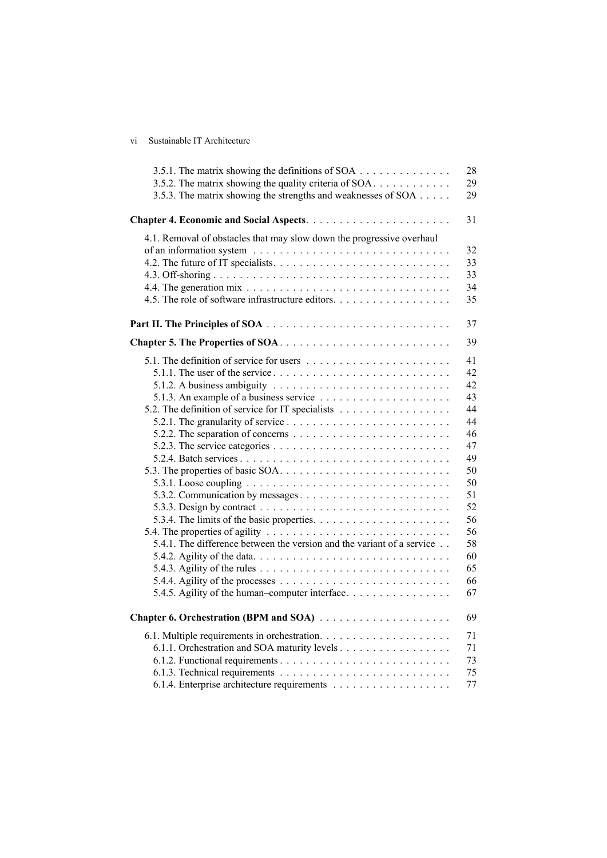## vi Sustainable IT Architecture

| 3.5.1. The matrix showing the definitions of SOA                                                   | 28 |
|----------------------------------------------------------------------------------------------------|----|
| 3.5.2. The matrix showing the quality criteria of SOA                                              | 29 |
| 3.5.3. The matrix showing the strengths and weaknesses of SOA                                      | 29 |
|                                                                                                    | 31 |
| 4.1. Removal of obstacles that may slow down the progressive overhaul                              |    |
|                                                                                                    | 32 |
|                                                                                                    | 33 |
|                                                                                                    | 33 |
|                                                                                                    | 34 |
| 4.5. The role of software infrastructure editors.                                                  | 35 |
|                                                                                                    | 37 |
|                                                                                                    | 39 |
|                                                                                                    |    |
|                                                                                                    | 41 |
| 5.1.1. The user of the service $\dots \dots \dots \dots \dots \dots \dots \dots \dots \dots \dots$ | 42 |
|                                                                                                    | 42 |
|                                                                                                    | 43 |
| 5.2. The definition of service for IT specialists                                                  | 44 |
|                                                                                                    | 44 |
|                                                                                                    | 46 |
|                                                                                                    | 47 |
|                                                                                                    | 49 |
|                                                                                                    | 50 |
|                                                                                                    | 50 |
| 5.3.2. Communication by messages                                                                   | 51 |
|                                                                                                    | 52 |
|                                                                                                    | 56 |
|                                                                                                    | 56 |
| 5.4.1. The difference between the version and the variant of a service                             | 58 |
|                                                                                                    | 60 |
|                                                                                                    | 65 |
|                                                                                                    | 66 |
| 5.4.5. Agility of the human-computer interface                                                     | 67 |
|                                                                                                    | 69 |
|                                                                                                    | 71 |
| 6.1.1. Orchestration and SOA maturity levels                                                       | 71 |
|                                                                                                    | 73 |
|                                                                                                    | 75 |
|                                                                                                    | 77 |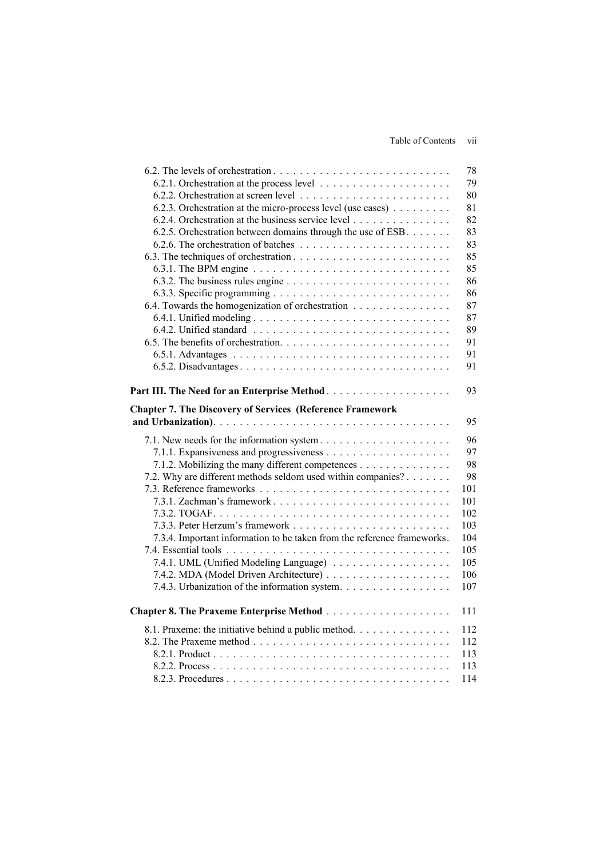Table of Contents vii

|                                                                         | 78        |
|-------------------------------------------------------------------------|-----------|
|                                                                         | 79        |
|                                                                         | 80        |
| 6.2.3. Orchestration at the micro-process level (use cases)             | 81        |
| 6.2.4. Orchestration at the business service level                      | 82        |
| 6.2.5. Orchestration between domains through the use of ESB.            | 83        |
|                                                                         | 83        |
|                                                                         | 85        |
|                                                                         | 85        |
|                                                                         | 86        |
|                                                                         | 86        |
| 6.4. Towards the homogenization of orchestration                        | 87        |
|                                                                         | 87        |
|                                                                         | 89        |
|                                                                         | 91        |
|                                                                         | 91        |
|                                                                         | 91        |
|                                                                         |           |
| Part III. The Need for an Enterprise Method                             | 93        |
| <b>Chapter 7. The Discovery of Services (Reference Framework</b>        |           |
|                                                                         | 95        |
|                                                                         |           |
| 7.1. New needs for the information system                               | 96        |
|                                                                         | 97        |
| 7.1.2. Mobilizing the many different competences                        | 98        |
| 7.2. Why are different methods seldom used within companies?            | 98<br>101 |
|                                                                         | 101       |
|                                                                         | 102       |
|                                                                         | 103       |
| 7.3.4. Important information to be taken from the reference frameworks. | 104       |
|                                                                         | 105       |
| 7.4.1. UML (Unified Modeling Language)                                  | 105       |
|                                                                         | 106       |
| 7.4.3. Urbanization of the information system.                          | 107       |
|                                                                         |           |
|                                                                         | 111       |
| 8.1. Praxeme: the initiative behind a public method                     | 112       |
|                                                                         | 112       |
|                                                                         | 113       |
|                                                                         | 113       |
|                                                                         | 114       |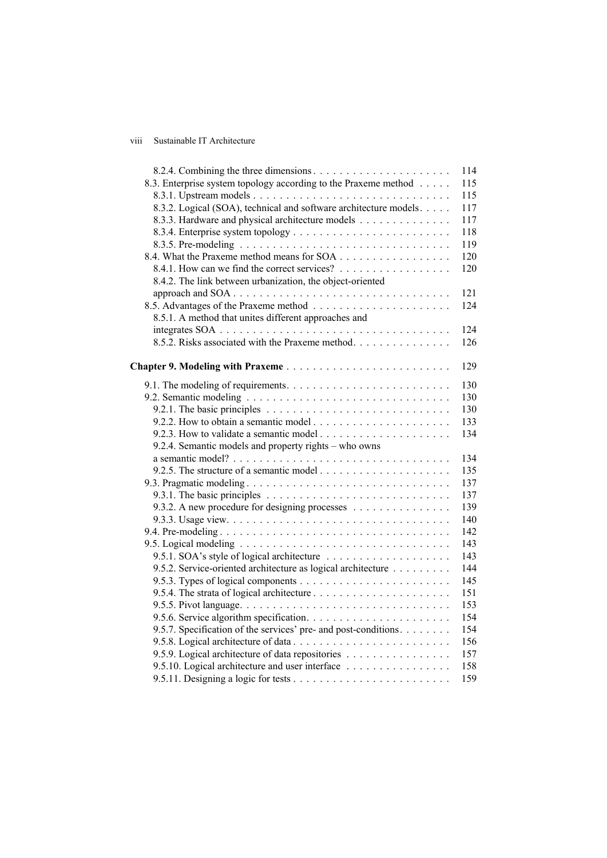## viii Sustainable IT Architecture

|                                                                                                     | 114 |
|-----------------------------------------------------------------------------------------------------|-----|
| 8.3. Enterprise system topology according to the Praxeme method                                     | 115 |
|                                                                                                     | 115 |
| 8.3.2. Logical (SOA), technical and software architecture models.                                   | 117 |
| 8.3.3. Hardware and physical architecture models                                                    | 117 |
|                                                                                                     | 118 |
|                                                                                                     | 119 |
|                                                                                                     | 120 |
| 8.4.1. How can we find the correct services?                                                        | 120 |
| 8.4.2. The link between urbanization, the object-oriented                                           |     |
| approach and SOA                                                                                    | 121 |
|                                                                                                     | 124 |
| 8.5.1. A method that unites different approaches and                                                |     |
|                                                                                                     | 124 |
| 8.5.2. Risks associated with the Praxeme method                                                     | 126 |
|                                                                                                     | 129 |
|                                                                                                     | 130 |
|                                                                                                     | 130 |
|                                                                                                     | 130 |
|                                                                                                     | 133 |
|                                                                                                     | 134 |
| 9.2.4. Semantic models and property rights – who owns                                               |     |
|                                                                                                     | 134 |
|                                                                                                     | 135 |
|                                                                                                     | 137 |
| 9.3.1. The basic principles $\ldots \ldots \ldots \ldots \ldots \ldots \ldots \ldots \ldots \ldots$ | 137 |
| 9.3.2. A new procedure for designing processes                                                      | 139 |
|                                                                                                     | 140 |
|                                                                                                     | 142 |
|                                                                                                     | 143 |
|                                                                                                     | 143 |
| 9.5.2. Service-oriented architecture as logical architecture                                        | 144 |
|                                                                                                     | 145 |
|                                                                                                     | 151 |
|                                                                                                     | 153 |
|                                                                                                     | 154 |
| 9.5.7. Specification of the services' pre- and post-conditions.                                     | 154 |
|                                                                                                     | 156 |
| 9.5.9. Logical architecture of data repositories                                                    | 157 |
| 9.5.10. Logical architecture and user interface                                                     | 158 |
|                                                                                                     | 159 |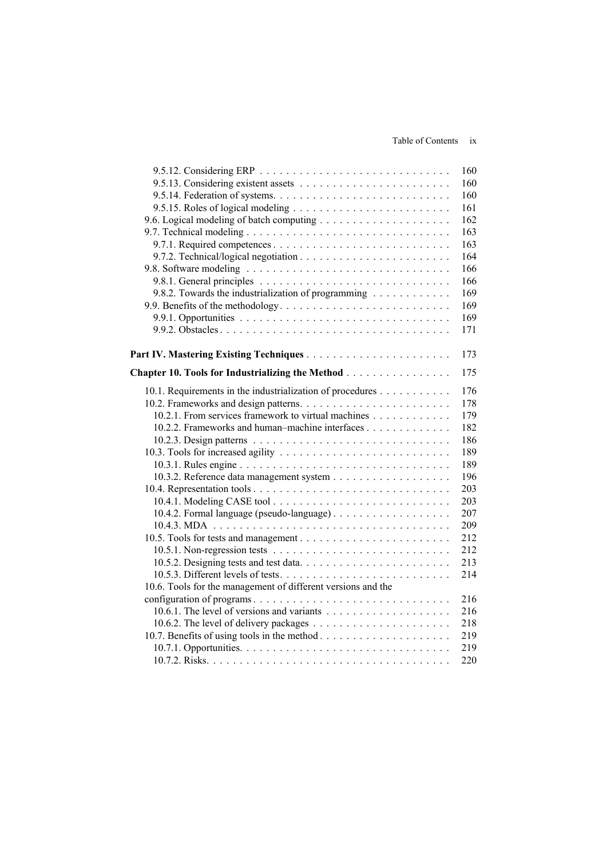|                                                              | 160 |
|--------------------------------------------------------------|-----|
|                                                              | 160 |
|                                                              | 160 |
|                                                              | 161 |
|                                                              | 162 |
|                                                              | 163 |
|                                                              | 163 |
|                                                              | 164 |
|                                                              | 166 |
|                                                              | 166 |
| 9.8.2. Towards the industrialization of programming          | 169 |
| 9.9. Benefits of the methodology                             | 169 |
|                                                              | 169 |
|                                                              | 171 |
|                                                              |     |
|                                                              | 173 |
| Chapter 10. Tools for Industrializing the Method             | 175 |
|                                                              |     |
| 10.1. Requirements in the industrialization of procedures    | 176 |
|                                                              | 178 |
| 10.2.1. From services framework to virtual machines          | 179 |
| 10.2.2. Frameworks and human-machine interfaces              | 182 |
|                                                              | 186 |
|                                                              | 189 |
|                                                              | 189 |
|                                                              | 196 |
|                                                              | 203 |
|                                                              | 203 |
|                                                              | 207 |
|                                                              | 209 |
|                                                              | 212 |
|                                                              | 212 |
|                                                              | 213 |
|                                                              | 214 |
| 10.6. Tools for the management of different versions and the |     |
|                                                              | 216 |
|                                                              | 216 |
|                                                              | 218 |
|                                                              | 219 |
|                                                              | 219 |
|                                                              | 220 |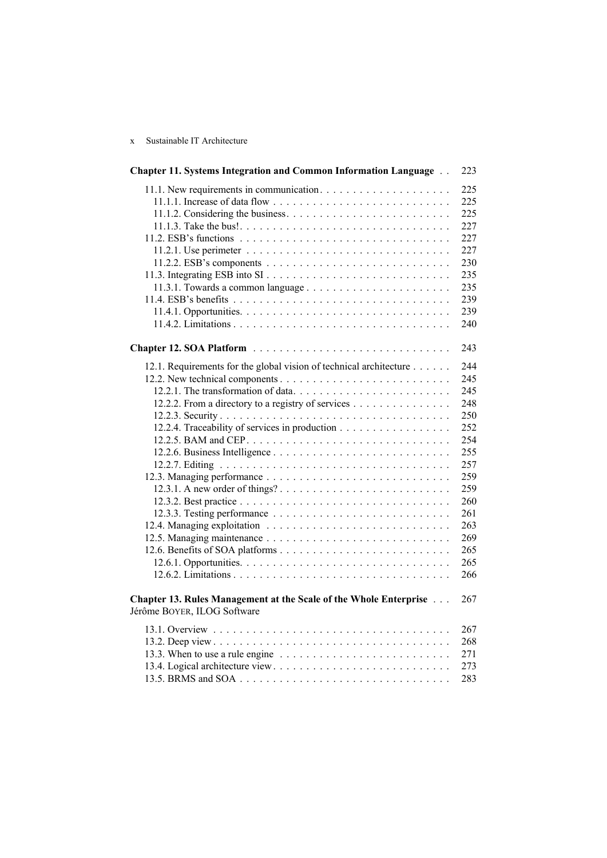## x Sustainable IT Architecture

| <b>Chapter 11. Systems Integration and Common Information Language </b>                          | 223 |
|--------------------------------------------------------------------------------------------------|-----|
|                                                                                                  | 225 |
|                                                                                                  | 225 |
|                                                                                                  | 225 |
|                                                                                                  | 227 |
|                                                                                                  | 227 |
|                                                                                                  | 227 |
|                                                                                                  | 230 |
|                                                                                                  | 235 |
|                                                                                                  | 235 |
|                                                                                                  | 239 |
|                                                                                                  | 239 |
|                                                                                                  | 240 |
|                                                                                                  |     |
|                                                                                                  | 243 |
| 12.1. Requirements for the global vision of technical architecture                               | 244 |
|                                                                                                  | 245 |
|                                                                                                  | 245 |
| 12.2.2. From a directory to a registry of services                                               | 248 |
|                                                                                                  | 250 |
| 12.2.4. Traceability of services in production                                                   | 252 |
|                                                                                                  | 254 |
|                                                                                                  | 255 |
|                                                                                                  | 257 |
|                                                                                                  | 259 |
|                                                                                                  | 259 |
|                                                                                                  | 260 |
|                                                                                                  | 261 |
|                                                                                                  | 263 |
|                                                                                                  | 269 |
|                                                                                                  | 265 |
|                                                                                                  | 265 |
|                                                                                                  | 266 |
|                                                                                                  |     |
| Chapter 13. Rules Management at the Scale of the Whole Enterprise<br>Jérôme BOYER, ILOG Software | 267 |
|                                                                                                  |     |
|                                                                                                  | 267 |
|                                                                                                  | 268 |
| 13.3. When to use a rule engine $\ldots \ldots \ldots \ldots \ldots \ldots \ldots \ldots$        | 271 |
|                                                                                                  | 273 |
|                                                                                                  | 283 |